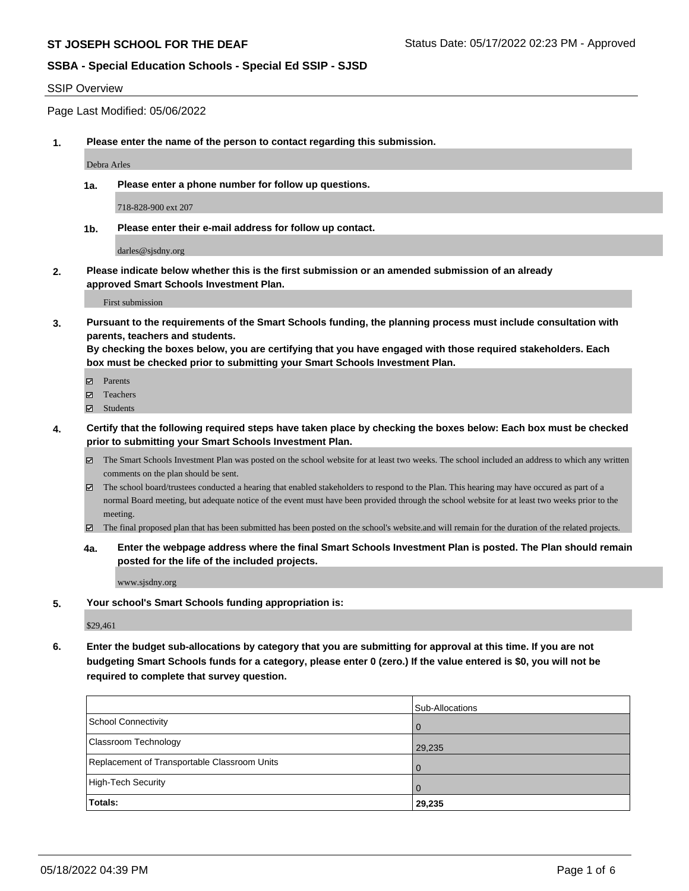#### SSIP Overview

Page Last Modified: 05/06/2022

**1. Please enter the name of the person to contact regarding this submission.**

Debra Arles

**1a. Please enter a phone number for follow up questions.**

718-828-900 ext 207

**1b. Please enter their e-mail address for follow up contact.**

darles@sjsdny.org

**2. Please indicate below whether this is the first submission or an amended submission of an already approved Smart Schools Investment Plan.**

First submission

**3. Pursuant to the requirements of the Smart Schools funding, the planning process must include consultation with parents, teachers and students.**

**By checking the boxes below, you are certifying that you have engaged with those required stakeholders. Each box must be checked prior to submitting your Smart Schools Investment Plan.**

- $\blacksquare$  Parents
- Teachers
- Students
- **4. Certify that the following required steps have taken place by checking the boxes below: Each box must be checked prior to submitting your Smart Schools Investment Plan.**
	- $\boxtimes$  The Smart Schools Investment Plan was posted on the school website for at least two weeks. The school included an address to which any written comments on the plan should be sent.
	- $\boxtimes$  The school board/trustees conducted a hearing that enabled stakeholders to respond to the Plan. This hearing may have occured as part of a normal Board meeting, but adequate notice of the event must have been provided through the school website for at least two weeks prior to the meeting.
	- The final proposed plan that has been submitted has been posted on the school's website.and will remain for the duration of the related projects.
	- **4a. Enter the webpage address where the final Smart Schools Investment Plan is posted. The Plan should remain posted for the life of the included projects.**

www.sjsdny.org

**5. Your school's Smart Schools funding appropriation is:**

\$29,461

**6. Enter the budget sub-allocations by category that you are submitting for approval at this time. If you are not budgeting Smart Schools funds for a category, please enter 0 (zero.) If the value entered is \$0, you will not be required to complete that survey question.**

|                                              | Sub-Allocations |
|----------------------------------------------|-----------------|
| School Connectivity                          |                 |
| <b>Classroom Technology</b>                  | 29,235          |
| Replacement of Transportable Classroom Units |                 |
| High-Tech Security                           |                 |
| <b>Totals:</b>                               | 29,235          |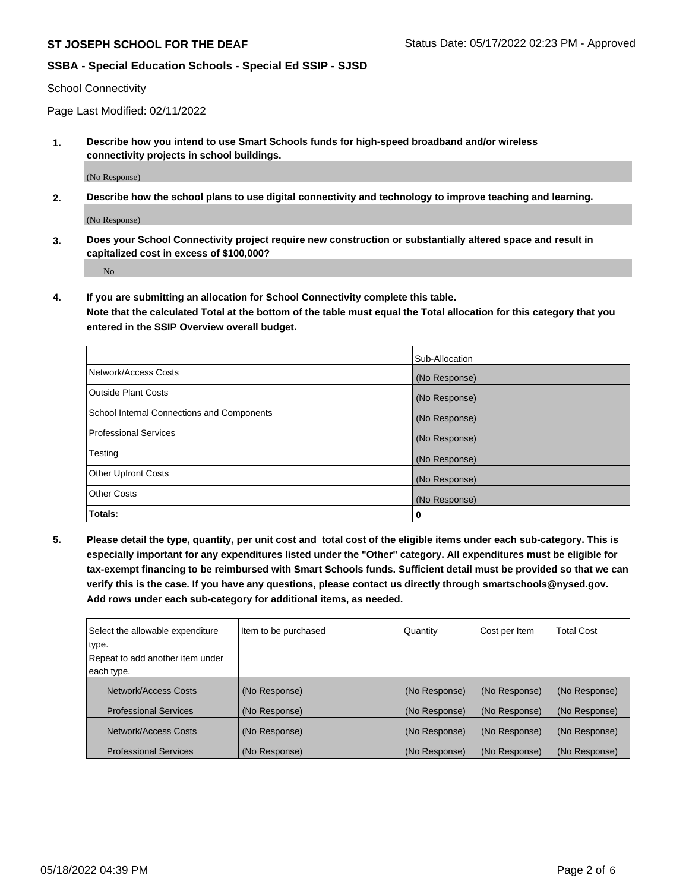School Connectivity

Page Last Modified: 02/11/2022

**1. Describe how you intend to use Smart Schools funds for high-speed broadband and/or wireless connectivity projects in school buildings.**

(No Response)

**2. Describe how the school plans to use digital connectivity and technology to improve teaching and learning.**

(No Response)

**3. Does your School Connectivity project require new construction or substantially altered space and result in capitalized cost in excess of \$100,000?**

No

**4. If you are submitting an allocation for School Connectivity complete this table.**

**Note that the calculated Total at the bottom of the table must equal the Total allocation for this category that you entered in the SSIP Overview overall budget.** 

|                                            | Sub-Allocation |
|--------------------------------------------|----------------|
| Network/Access Costs                       | (No Response)  |
| <b>Outside Plant Costs</b>                 | (No Response)  |
| School Internal Connections and Components | (No Response)  |
| Professional Services                      | (No Response)  |
| Testing                                    | (No Response)  |
| <b>Other Upfront Costs</b>                 | (No Response)  |
| <b>Other Costs</b>                         | (No Response)  |
| Totals:                                    | 0              |

**5. Please detail the type, quantity, per unit cost and total cost of the eligible items under each sub-category. This is especially important for any expenditures listed under the "Other" category. All expenditures must be eligible for tax-exempt financing to be reimbursed with Smart Schools funds. Sufficient detail must be provided so that we can verify this is the case. If you have any questions, please contact us directly through smartschools@nysed.gov. Add rows under each sub-category for additional items, as needed.**

| Select the allowable expenditure | Item to be purchased | Quantity      | Cost per Item | <b>Total Cost</b> |
|----------------------------------|----------------------|---------------|---------------|-------------------|
| type.                            |                      |               |               |                   |
| Repeat to add another item under |                      |               |               |                   |
| each type.                       |                      |               |               |                   |
| Network/Access Costs             | (No Response)        | (No Response) | (No Response) | (No Response)     |
| <b>Professional Services</b>     | (No Response)        | (No Response) | (No Response) | (No Response)     |
| Network/Access Costs             | (No Response)        | (No Response) | (No Response) | (No Response)     |
| <b>Professional Services</b>     | (No Response)        | (No Response) | (No Response) | (No Response)     |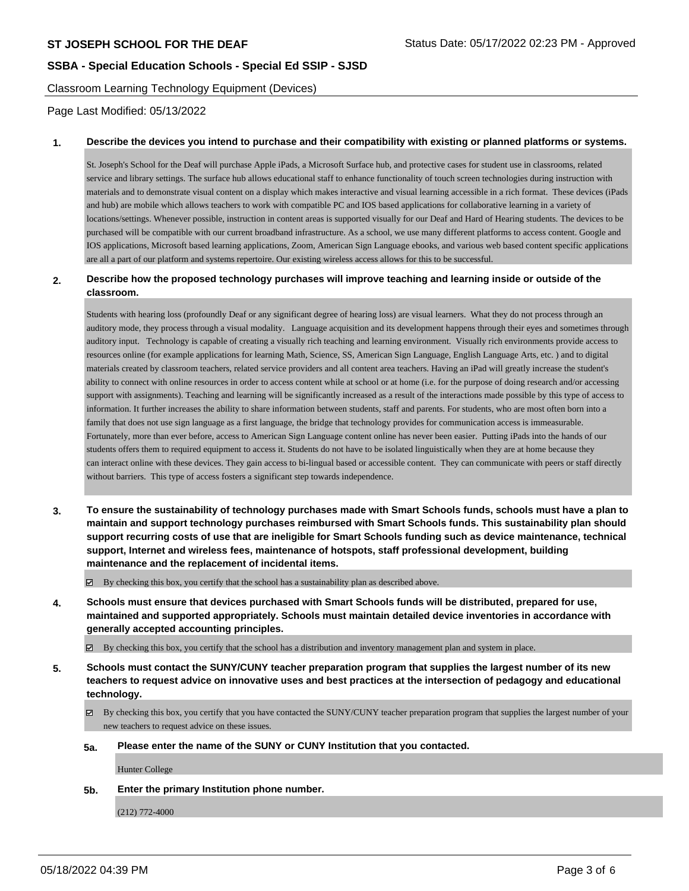Classroom Learning Technology Equipment (Devices)

Page Last Modified: 05/13/2022

### **1. Describe the devices you intend to purchase and their compatibility with existing or planned platforms or systems.**

St. Joseph's School for the Deaf will purchase Apple iPads, a Microsoft Surface hub, and protective cases for student use in classrooms, related service and library settings. The surface hub allows educational staff to enhance functionality of touch screen technologies during instruction with materials and to demonstrate visual content on a display which makes interactive and visual learning accessible in a rich format. These devices (iPads and hub) are mobile which allows teachers to work with compatible PC and IOS based applications for collaborative learning in a variety of locations/settings. Whenever possible, instruction in content areas is supported visually for our Deaf and Hard of Hearing students. The devices to be purchased will be compatible with our current broadband infrastructure. As a school, we use many different platforms to access content. Google and IOS applications, Microsoft based learning applications, Zoom, American Sign Language ebooks, and various web based content specific applications are all a part of our platform and systems repertoire. Our existing wireless access allows for this to be successful.

### **2. Describe how the proposed technology purchases will improve teaching and learning inside or outside of the classroom.**

Students with hearing loss (profoundly Deaf or any significant degree of hearing loss) are visual learners. What they do not process through an auditory mode, they process through a visual modality. Language acquisition and its development happens through their eyes and sometimes through auditory input. Technology is capable of creating a visually rich teaching and learning environment. Visually rich environments provide access to resources online (for example applications for learning Math, Science, SS, American Sign Language, English Language Arts, etc. ) and to digital materials created by classroom teachers, related service providers and all content area teachers. Having an iPad will greatly increase the student's ability to connect with online resources in order to access content while at school or at home (i.e. for the purpose of doing research and/or accessing support with assignments). Teaching and learning will be significantly increased as a result of the interactions made possible by this type of access to information. It further increases the ability to share information between students, staff and parents. For students, who are most often born into a family that does not use sign language as a first language, the bridge that technology provides for communication access is immeasurable. Fortunately, more than ever before, access to American Sign Language content online has never been easier. Putting iPads into the hands of our students offers them to required equipment to access it. Students do not have to be isolated linguistically when they are at home because they can interact online with these devices. They gain access to bi-lingual based or accessible content. They can communicate with peers or staff directly without barriers. This type of access fosters a significant step towards independence.

**3. To ensure the sustainability of technology purchases made with Smart Schools funds, schools must have a plan to maintain and support technology purchases reimbursed with Smart Schools funds. This sustainability plan should support recurring costs of use that are ineligible for Smart Schools funding such as device maintenance, technical support, Internet and wireless fees, maintenance of hotspots, staff professional development, building maintenance and the replacement of incidental items.**

By checking this box, you certify that the school has a sustainability plan as described above.

**4. Schools must ensure that devices purchased with Smart Schools funds will be distributed, prepared for use, maintained and supported appropriately. Schools must maintain detailed device inventories in accordance with generally accepted accounting principles.**

By checking this box, you certify that the school has a distribution and inventory management plan and system in place.

- **5. Schools must contact the SUNY/CUNY teacher preparation program that supplies the largest number of its new teachers to request advice on innovative uses and best practices at the intersection of pedagogy and educational technology.**
	- $\boxtimes$  By checking this box, you certify that you have contacted the SUNY/CUNY teacher preparation program that supplies the largest number of your new teachers to request advice on these issues.
	- **5a. Please enter the name of the SUNY or CUNY Institution that you contacted.**

Hunter College

**5b. Enter the primary Institution phone number.**

(212) 772-4000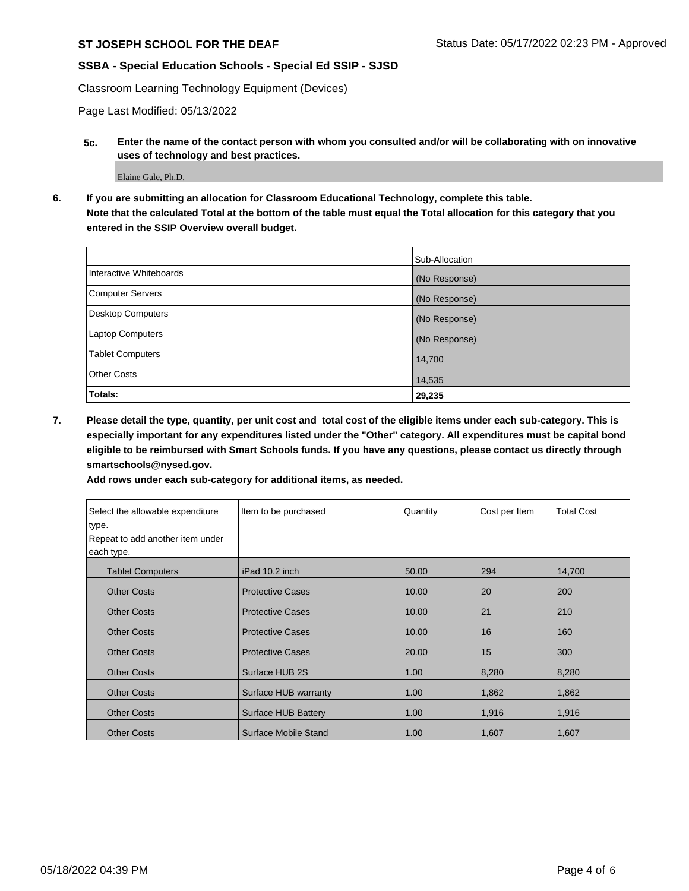Classroom Learning Technology Equipment (Devices)

Page Last Modified: 05/13/2022

**5c. Enter the name of the contact person with whom you consulted and/or will be collaborating with on innovative uses of technology and best practices.**

Elaine Gale, Ph.D.

**6. If you are submitting an allocation for Classroom Educational Technology, complete this table. Note that the calculated Total at the bottom of the table must equal the Total allocation for this category that you entered in the SSIP Overview overall budget.**

|                         | Sub-Allocation |
|-------------------------|----------------|
| Interactive Whiteboards | (No Response)  |
| Computer Servers        | (No Response)  |
| Desktop Computers       | (No Response)  |
| Laptop Computers        | (No Response)  |
| <b>Tablet Computers</b> | 14,700         |
| <b>Other Costs</b>      | 14,535         |
| Totals:                 | 29,235         |

**7. Please detail the type, quantity, per unit cost and total cost of the eligible items under each sub-category. This is especially important for any expenditures listed under the "Other" category. All expenditures must be capital bond eligible to be reimbursed with Smart Schools funds. If you have any questions, please contact us directly through smartschools@nysed.gov.**

| Select the allowable expenditure | Item to be purchased    | Quantity | Cost per Item | <b>Total Cost</b> |
|----------------------------------|-------------------------|----------|---------------|-------------------|
| type.                            |                         |          |               |                   |
| Repeat to add another item under |                         |          |               |                   |
| each type.                       |                         |          |               |                   |
| <b>Tablet Computers</b>          | iPad 10.2 inch          | 50.00    | 294           | 14,700            |
| <b>Other Costs</b>               | <b>Protective Cases</b> | 10.00    | 20            | 200               |
| <b>Other Costs</b>               | <b>Protective Cases</b> | 10.00    | 21            | 210               |
| <b>Other Costs</b>               | <b>Protective Cases</b> | 10.00    | 16            | 160               |
| <b>Other Costs</b>               | <b>Protective Cases</b> | 20.00    | 15            | 300               |
| <b>Other Costs</b>               | Surface HUB 2S          | 1.00     | 8,280         | 8,280             |
| <b>Other Costs</b>               | Surface HUB warranty    | 1.00     | 1,862         | 1,862             |
| <b>Other Costs</b>               | Surface HUB Battery     | 1.00     | 1,916         | 1,916             |
| <b>Other Costs</b>               | Surface Mobile Stand    | 1.00     | 1,607         | 1,607             |

**Add rows under each sub-category for additional items, as needed.**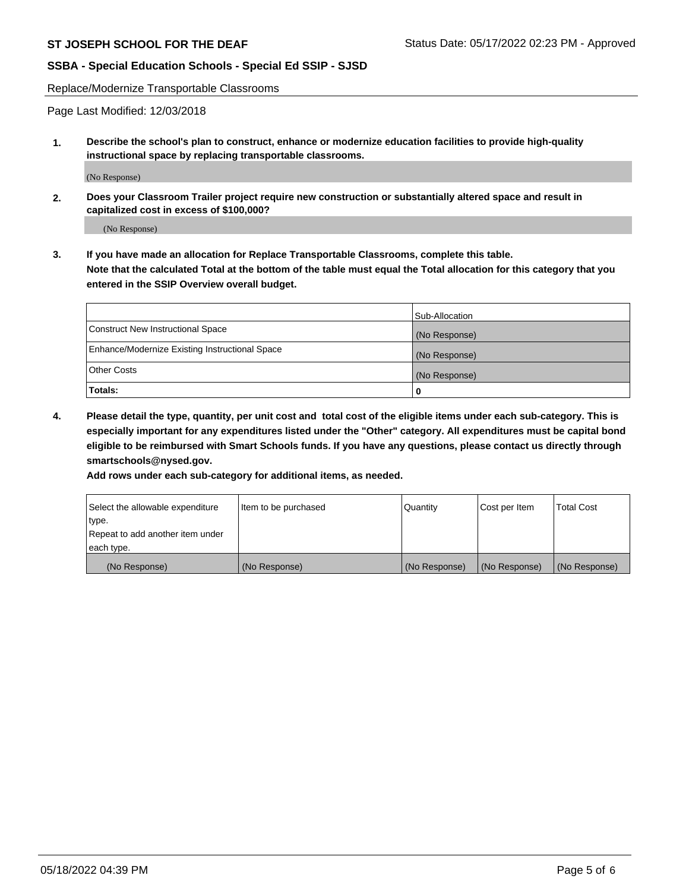Replace/Modernize Transportable Classrooms

Page Last Modified: 12/03/2018

**1. Describe the school's plan to construct, enhance or modernize education facilities to provide high-quality instructional space by replacing transportable classrooms.**

(No Response)

**2. Does your Classroom Trailer project require new construction or substantially altered space and result in capitalized cost in excess of \$100,000?**

(No Response)

**3. If you have made an allocation for Replace Transportable Classrooms, complete this table. Note that the calculated Total at the bottom of the table must equal the Total allocation for this category that you entered in the SSIP Overview overall budget.**

|                                                | Sub-Allocation |
|------------------------------------------------|----------------|
| Construct New Instructional Space              | (No Response)  |
| Enhance/Modernize Existing Instructional Space | (No Response)  |
| Other Costs                                    | (No Response)  |
| Totals:                                        | 0              |

**4. Please detail the type, quantity, per unit cost and total cost of the eligible items under each sub-category. This is especially important for any expenditures listed under the "Other" category. All expenditures must be capital bond eligible to be reimbursed with Smart Schools funds. If you have any questions, please contact us directly through smartschools@nysed.gov.**

**Add rows under each sub-category for additional items, as needed.**

| Select the allowable expenditure | Item to be purchased | Quantity      | Cost per Item | Total Cost    |
|----------------------------------|----------------------|---------------|---------------|---------------|
| type.                            |                      |               |               |               |
| Repeat to add another item under |                      |               |               |               |
| each type.                       |                      |               |               |               |
| (No Response)                    | (No Response)        | (No Response) | (No Response) | (No Response) |